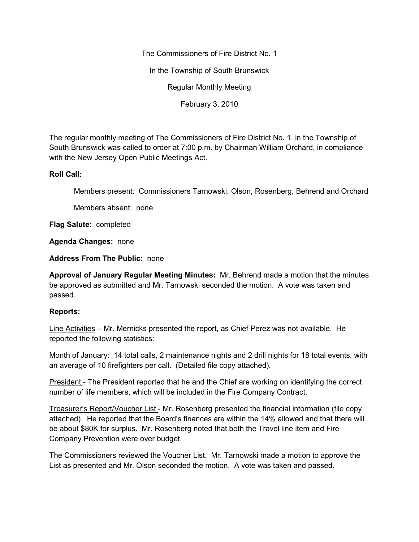The Commissioners of Fire District No. 1

In the Township of South Brunswick

Regular Monthly Meeting

February 3, 2010

The regular monthly meeting of The Commissioners of Fire District No. 1, in the Township of South Brunswick was called to order at 7:00 p.m. by Chairman William Orchard, in compliance with the New Jersey Open Public Meetings Act.

## **Roll Call:**

Members present: Commissioners Tarnowski, Olson, Rosenberg, Behrend and Orchard

Members absent: none

**Flag Salute:** completed

**Agenda Changes:** none

**Address From The Public:** none

**Approval of January Regular Meeting Minutes:** Mr. Behrend made a motion that the minutes be approved as submitted and Mr. Tarnowski seconded the motion. A vote was taken and passed.

# **Reports:**

Line Activities – Mr. Mernicks presented the report, as Chief Perez was not available. He reported the following statistics:

Month of January: 14 total calls, 2 maintenance nights and 2 drill nights for 18 total events, with an average of 10 firefighters per call. (Detailed file copy attached).

President - The President reported that he and the Chief are working on identifying the correct number of life members, which will be included in the Fire Company Contract.

Treasurer's Report/Voucher List - Mr. Rosenberg presented the financial information (file copy attached). He reported that the Board's finances are within the 14% allowed and that there will be about \$80K for surplus. Mr. Rosenberg noted that both the Travel line item and Fire Company Prevention were over budget.

The Commissioners reviewed the Voucher List. Mr. Tarnowski made a motion to approve the List as presented and Mr. Olson seconded the motion. A vote was taken and passed.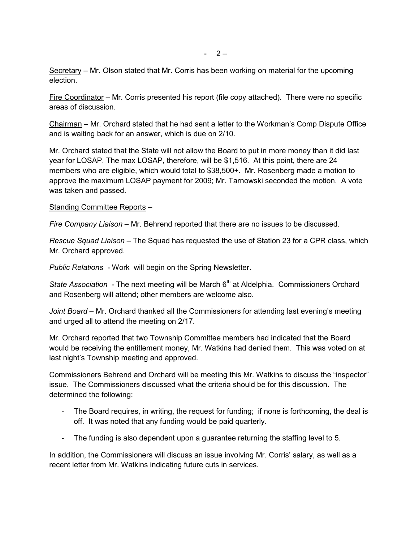Secretary – Mr. Olson stated that Mr. Corris has been working on material for the upcoming election.

Fire Coordinator – Mr. Corris presented his report (file copy attached). There were no specific areas of discussion.

Chairman – Mr. Orchard stated that he had sent a letter to the Workman's Comp Dispute Office and is waiting back for an answer, which is due on 2/10.

Mr. Orchard stated that the State will not allow the Board to put in more money than it did last year for LOSAP. The max LOSAP, therefore, will be \$1,516. At this point, there are 24 members who are eligible, which would total to \$38,500+. Mr. Rosenberg made a motion to approve the maximum LOSAP payment for 2009; Mr. Tarnowski seconded the motion. A vote was taken and passed.

#### Standing Committee Reports –

*Fire Company Liaison –* Mr. Behrend reported that there are no issues to be discussed.

*Rescue Squad Liaison –* The Squad has requested the use of Station 23 for a CPR class, which Mr. Orchard approved.

*Public Relations* - Work will begin on the Spring Newsletter.

*State Association* - The next meeting will be March 6<sup>th</sup> at Aldelphia. Commissioners Orchard and Rosenberg will attend; other members are welcome also.

*Joint Board* – Mr. Orchard thanked all the Commissioners for attending last evening's meeting and urged all to attend the meeting on 2/17.

Mr. Orchard reported that two Township Committee members had indicated that the Board would be receiving the entitlement money, Mr. Watkins had denied them. This was voted on at last night's Township meeting and approved.

Commissioners Behrend and Orchard will be meeting this Mr. Watkins to discuss the "inspector" issue. The Commissioners discussed what the criteria should be for this discussion. The determined the following:

- The Board requires, in writing, the request for funding; if none is forthcoming, the deal is off. It was noted that any funding would be paid quarterly.
- The funding is also dependent upon a guarantee returning the staffing level to 5.

In addition, the Commissioners will discuss an issue involving Mr. Corris' salary, as well as a recent letter from Mr. Watkins indicating future cuts in services.